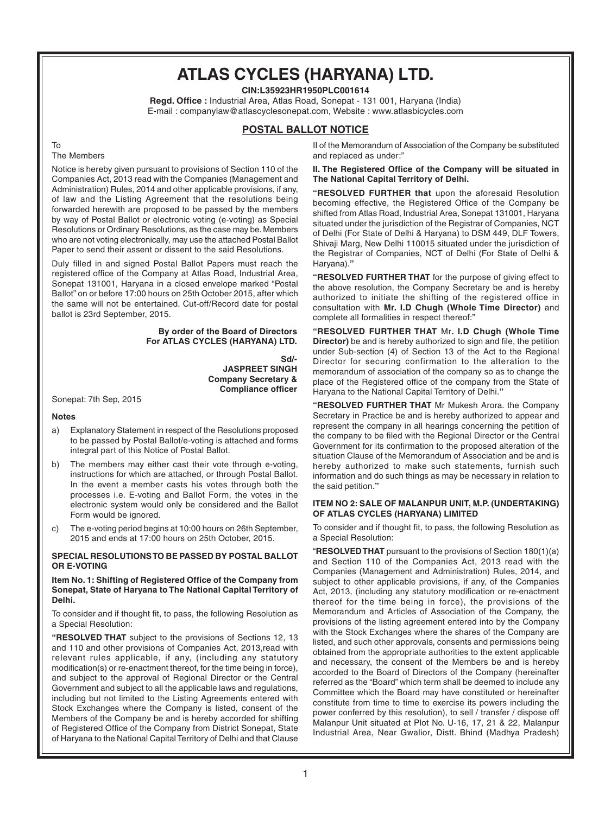## **ATLAS CYCLES (HARYANA) LTD.**

**CIN:L35923HR1950PLC001614**

**Regd. Office :** Industrial Area, Atlas Road, Sonepat - 131 001, Haryana (India) E-mail : companylaw@atlascyclesonepat.com, Website : www.atlasbicycles.com

### **POSTAL BALLOT NOTICE**

#### To

#### The Members

Notice is hereby given pursuant to provisions of Section 110 of the Companies Act, 2013 read with the Companies (Management and Administration) Rules, 2014 and other applicable provisions, if any, of law and the Listing Agreement that the resolutions being forwarded herewith are proposed to be passed by the members by way of Postal Ballot or electronic voting (e-voting) as Special Resolutions or Ordinary Resolutions, as the case may be. Members who are not voting electronically, may use the attached Postal Ballot Paper to send their assent or dissent to the said Resolutions.

Duly filled in and signed Postal Ballot Papers must reach the registered office of the Company at Atlas Road, Industrial Area, Sonepat 131001, Haryana in a closed envelope marked "Postal Ballot" on or before 17:00 hours on 25th October 2015, after which the same will not be entertained. Cut-off/Record date for postal ballot is 23rd September, 2015.

#### **By order of the Board of Directors For ATLAS CYCLES (HARYANA) LTD.**

**Sd/- JASPREET SINGH Company Secretary & Compliance officer**

Sonepat: 7th Sep, 2015

#### **Notes**

- a) Explanatory Statement in respect of the Resolutions proposed to be passed by Postal Ballot/e-voting is attached and forms integral part of this Notice of Postal Ballot.
- b) The members may either cast their vote through e-voting, instructions for which are attached, or through Postal Ballot. In the event a member casts his votes through both the processes i.e. E-voting and Ballot Form, the votes in the electronic system would only be considered and the Ballot Form would be ignored.
- c) The e-voting period begins at 10:00 hours on 26th September, 2015 and ends at 17:00 hours on 25th October, 2015.

#### **SPECIAL RESOLUTIONS TO BE PASSED BY POSTAL BALLOT OR E-VOTING**

#### **Item No. 1: Shifting of Registered Office of the Company from Sonepat, State of Haryana to The National Capital Territory of Delhi.**

To consider and if thought fit, to pass, the following Resolution as a Special Resolution:

**"RESOLVED THAT** subject to the provisions of Sections 12, 13 and 110 and other provisions of Companies Act, 2013,read with relevant rules applicable, if any, (including any statutory modification(s) or re-enactment thereof, for the time being in force), and subject to the approval of Regional Director or the Central Government and subject to all the applicable laws and regulations, including but not limited to the Listing Agreements entered with Stock Exchanges where the Company is listed, consent of the Members of the Company be and is hereby accorded for shifting of Registered Office of the Company from District Sonepat, State of Haryana to the National Capital Territory of Delhi and that Clause II of the Memorandum of Association of the Company be substituted and replaced as under:"

**II. The Registered Office of the Company will be situated in The National Capital Territory of Delhi.**

**"RESOLVED FURTHER that** upon the aforesaid Resolution becoming effective, the Registered Office of the Company be shifted from Atlas Road, Industrial Area, Sonepat 131001, Haryana situated under the jurisdiction of the Registrar of Companies, NCT of Delhi (For State of Delhi & Haryana) to DSM 449, DLF Towers, Shivaji Marg, New Delhi 110015 situated under the jurisdiction of the Registrar of Companies, NCT of Delhi (For State of Delhi & Haryana).**"**

**"RESOLVED FURTHER THAT** for the purpose of giving effect to the above resolution, the Company Secretary be and is hereby authorized to initiate the shifting of the registered office in consultation with **Mr. I.D Chugh (Whole Time Director)** and complete all formalities in respect thereof:"

**"RESOLVED FURTHER THAT** Mr**. I.D Chugh (Whole Time Director)** be and is hereby authorized to sign and file, the petition under Sub-section (4) of Section 13 of the Act to the Regional Director for securing confirmation to the alteration to the memorandum of association of the company so as to change the place of the Registered office of the company from the State of Haryana to the National Capital Territory of Delhi.**"**

**"RESOLVED FURTHER THAT** Mr Mukesh Arora. the Company Secretary in Practice be and is hereby authorized to appear and represent the company in all hearings concerning the petition of the company to be filed with the Regional Director or the Central Government for its confirmation to the proposed alteration of the situation Clause of the Memorandum of Association and be and is hereby authorized to make such statements, furnish such information and do such things as may be necessary in relation to the said petition.**"**

#### **ITEM NO 2: SALE OF MALANPUR UNIT, M.P. (UNDERTAKING) OF ATLAS CYCLES (HARYANA) LIMITED**

To consider and if thought fit, to pass, the following Resolution as a Special Resolution:

"**RESOLVED THAT** pursuant to the provisions of Section 180(1)(a) and Section 110 of the Companies Act, 2013 read with the Companies (Management and Administration) Rules, 2014, and subject to other applicable provisions, if any, of the Companies Act, 2013, (including any statutory modification or re-enactment thereof for the time being in force), the provisions of the Memorandum and Articles of Association of the Company, the provisions of the listing agreement entered into by the Company with the Stock Exchanges where the shares of the Company are listed, and such other approvals, consents and permissions being obtained from the appropriate authorities to the extent applicable and necessary, the consent of the Members be and is hereby accorded to the Board of Directors of the Company (hereinafter referred as the "Board" which term shall be deemed to include any Committee which the Board may have constituted or hereinafter constitute from time to time to exercise its powers including the power conferred by this resolution), to sell / transfer / dispose off Malanpur Unit situated at Plot No. U-16, 17, 21 & 22, Malanpur Industrial Area, Near Gwalior, Distt. Bhind (Madhya Pradesh)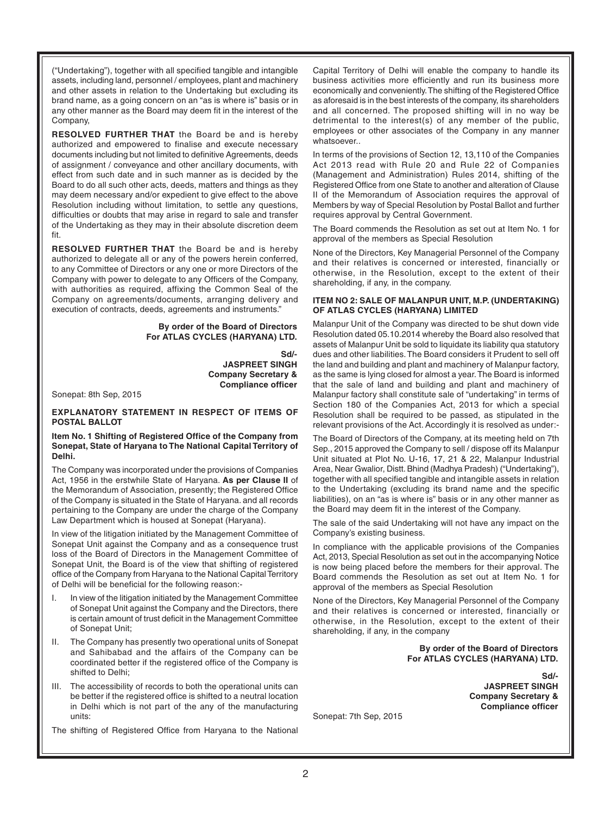("Undertaking"), together with all specified tangible and intangible assets, including land, personnel / employees, plant and machinery and other assets in relation to the Undertaking but excluding its brand name, as a going concern on an "as is where is" basis or in any other manner as the Board may deem fit in the interest of the Company,

**RESOLVED FURTHER THAT** the Board be and is hereby authorized and empowered to finalise and execute necessary documents including but not limited to definitive Agreements, deeds of assignment / conveyance and other ancillary documents, with effect from such date and in such manner as is decided by the Board to do all such other acts, deeds, matters and things as they may deem necessary and/or expedient to give effect to the above Resolution including without limitation, to settle any questions, difficulties or doubts that may arise in regard to sale and transfer of the Undertaking as they may in their absolute discretion deem fit.

**RESOLVED FURTHER THAT** the Board be and is hereby authorized to delegate all or any of the powers herein conferred, to any Committee of Directors or any one or more Directors of the Company with power to delegate to any Officers of the Company, with authorities as required, affixing the Common Seal of the Company on agreements/documents, arranging delivery and execution of contracts, deeds, agreements and instruments."

#### **By order of the Board of Directors For ATLAS CYCLES (HARYANA) LTD.**

**Sd/- JASPREET SINGH Company Secretary & Compliance officer**

Sonepat: 8th Sep, 2015

#### **EXPLANATORY STATEMENT IN RESPECT OF ITEMS OF POSTAL BALLOT**

#### **Item No. 1 Shifting of Registered Office of the Company from Sonepat, State of Haryana to The National Capital Territory of Delhi.**

The Company was incorporated under the provisions of Companies Act, 1956 in the erstwhile State of Haryana. **As per Clause II** of the Memorandum of Association, presently; the Registered Office of the Company is situated in the State of Haryana. and all records pertaining to the Company are under the charge of the Company Law Department which is housed at Sonepat (Haryana).

In view of the litigation initiated by the Management Committee of Sonepat Unit against the Company and as a consequence trust loss of the Board of Directors in the Management Committee of Sonepat Unit, the Board is of the view that shifting of registered office of the Company from Haryana to the National Capital Territory of Delhi will be beneficial for the following reason:-

- In view of the litigation initiated by the Management Committee of Sonepat Unit against the Company and the Directors, there is certain amount of trust deficit in the Management Committee of Sonepat Unit;
- II. The Company has presently two operational units of Sonepat and Sahibabad and the affairs of the Company can be coordinated better if the registered office of the Company is shifted to Delhi;
- III. The accessibility of records to both the operational units can be better if the registered office is shifted to a neutral location in Delhi which is not part of the any of the manufacturing units:

The shifting of Registered Office from Haryana to the National

Capital Territory of Delhi will enable the company to handle its business activities more efficiently and run its business more economically and conveniently. The shifting of the Registered Office as aforesaid is in the best interests of the company, its shareholders and all concerned. The proposed shifting will in no way be detrimental to the interest(s) of any member of the public, employees or other associates of the Company in any manner whatsoever..

In terms of the provisions of Section 12, 13,110 of the Companies Act 2013 read with Rule 20 and Rule 22 of Companies (Management and Administration) Rules 2014, shifting of the Registered Office from one State to another and alteration of Clause II of the Memorandum of Association requires the approval of Members by way of Special Resolution by Postal Ballot and further requires approval by Central Government.

The Board commends the Resolution as set out at Item No. 1 for approval of the members as Special Resolution

None of the Directors, Key Managerial Personnel of the Company and their relatives is concerned or interested, financially or otherwise, in the Resolution, except to the extent of their shareholding, if any, in the company.

#### **ITEM NO 2: SALE OF MALANPUR UNIT, M.P. (UNDERTAKING) OF ATLAS CYCLES (HARYANA) LIMITED**

Malanpur Unit of the Company was directed to be shut down vide Resolution dated 05.10.2014 whereby the Board also resolved that assets of Malanpur Unit be sold to liquidate its liability qua statutory dues and other liabilities. The Board considers it Prudent to sell off the land and building and plant and machinery of Malanpur factory, as the same is lying closed for almost a year. The Board is informed that the sale of land and building and plant and machinery of Malanpur factory shall constitute sale of "undertaking" in terms of Section 180 of the Companies Act, 2013 for which a special Resolution shall be required to be passed, as stipulated in the relevant provisions of the Act. Accordingly it is resolved as under:-

The Board of Directors of the Company, at its meeting held on 7th Sep., 2015 approved the Company to sell / dispose off its Malanpur Unit situated at Plot No. U-16, 17, 21 & 22, Malanpur Industrial Area, Near Gwalior, Distt. Bhind (Madhya Pradesh) ("Undertaking"), together with all specified tangible and intangible assets in relation to the Undertaking (excluding its brand name and the specific liabilities), on an "as is where is" basis or in any other manner as the Board may deem fit in the interest of the Company.

The sale of the said Undertaking will not have any impact on the Company's existing business.

In compliance with the applicable provisions of the Companies Act, 2013, Special Resolution as set out in the accompanying Notice is now being placed before the members for their approval. The Board commends the Resolution as set out at Item No. 1 for approval of the members as Special Resolution

None of the Directors, Key Managerial Personnel of the Company and their relatives is concerned or interested, financially or otherwise, in the Resolution, except to the extent of their shareholding, if any, in the company

> **By order of the Board of Directors For ATLAS CYCLES (HARYANA) LTD.**

> > **Sd/- JASPREET SINGH Company Secretary & Compliance officer**

Sonepat: 7th Sep, 2015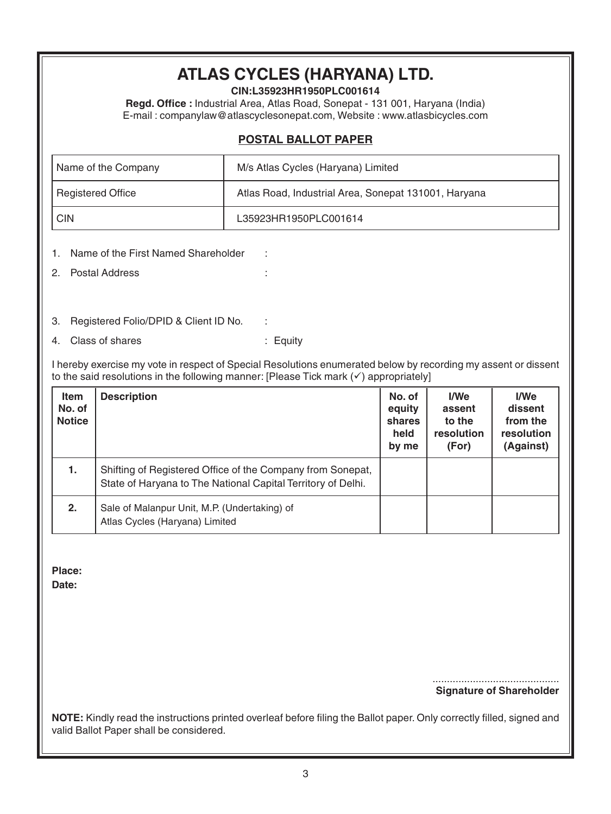# **ATLAS CYCLES (HARYANA) LTD.**

**CIN:L35923HR1950PLC001614**

**Regd. Office :** Industrial Area, Atlas Road, Sonepat - 131 001, Haryana (India) E-mail : companylaw@atlascyclesonepat.com, Website : www.atlasbicycles.com

### **POSTAL BALLOT PAPER**

| Name of the Company      | M/s Atlas Cycles (Haryana) Limited                   |  |
|--------------------------|------------------------------------------------------|--|
| <b>Registered Office</b> | Atlas Road, Industrial Area, Sonepat 131001, Haryana |  |
| CIN                      | L35923HR1950PLC001614                                |  |

- 1. Name of the First Named Shareholder :
- 2. Postal Address :
- 3. Registered Folio/DPID & Client ID No. :
- 4. Class of shares : Equity

I hereby exercise my vote in respect of Special Resolutions enumerated below by recording my assent or dissent to the said resolutions in the following manner: [Please Tick mark  $(\checkmark)$  appropriately]

| <b>Item</b><br>No. of<br><b>Notice</b> | <b>Description</b>                                                                                                         | No. of<br>equity<br>shares<br>held<br>by me | I/We<br>assent<br>to the<br>resolution<br>(For) | I/We<br>dissent<br>from the<br>resolution<br>(Against) |
|----------------------------------------|----------------------------------------------------------------------------------------------------------------------------|---------------------------------------------|-------------------------------------------------|--------------------------------------------------------|
| 1.                                     | Shifting of Registered Office of the Company from Sonepat,<br>State of Haryana to The National Capital Territory of Delhi. |                                             |                                                 |                                                        |
| 2.                                     | Sale of Malanpur Unit, M.P. (Undertaking) of<br>Atlas Cycles (Haryana) Limited                                             |                                             |                                                 |                                                        |

**Place:**

**Date:**

............................................ **Signature of Shareholder**

**NOTE:** Kindly read the instructions printed overleaf before filing the Ballot paper. Only correctly filled, signed and valid Ballot Paper shall be considered.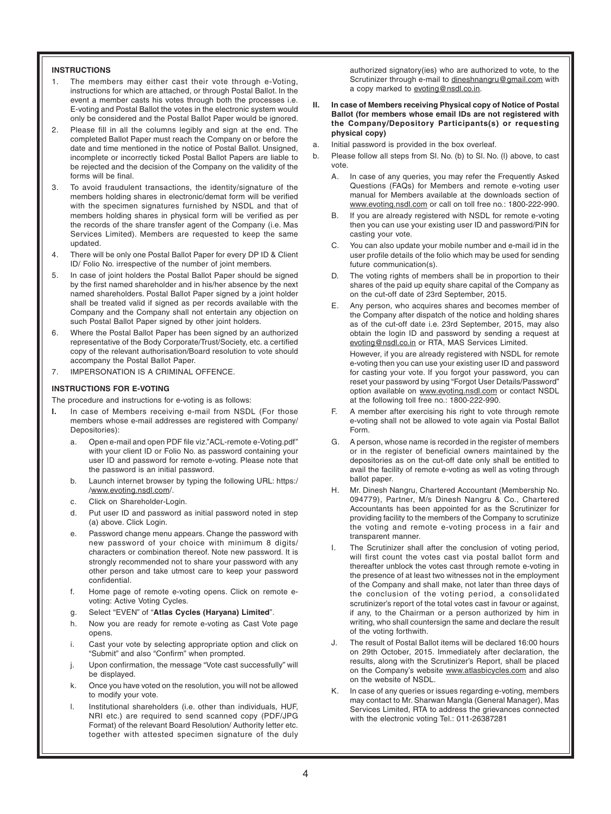#### **INSTRUCTIONS**

- 1. The members may either cast their vote through e-Voting, instructions for which are attached, or through Postal Ballot. In the event a member casts his votes through both the processes i.e. E-voting and Postal Ballot the votes in the electronic system would only be considered and the Postal Ballot Paper would be ignored.
- 2. Please fill in all the columns legibly and sign at the end. The completed Ballot Paper must reach the Company on or before the date and time mentioned in the notice of Postal Ballot. Unsigned, incomplete or incorrectly ticked Postal Ballot Papers are liable to be rejected and the decision of the Company on the validity of the forms will be final.
- 3. To avoid fraudulent transactions, the identity/signature of the members holding shares in electronic/demat form will be verified with the specimen signatures furnished by NSDL and that of members holding shares in physical form will be verified as per the records of the share transfer agent of the Company (i.e. Mas Services Limited). Members are requested to keep the same updated.
- 4. There will be only one Postal Ballot Paper for every DP ID & Client ID/ Folio No. irrespective of the number of joint members.
- 5. In case of joint holders the Postal Ballot Paper should be signed by the first named shareholder and in his/her absence by the next named shareholders. Postal Ballot Paper signed by a joint holder shall be treated valid if signed as per records available with the Company and the Company shall not entertain any objection on such Postal Ballot Paper signed by other joint holders.
- 6. Where the Postal Ballot Paper has been signed by an authorized representative of the Body Corporate/Trust/Society, etc. a certified copy of the relevant authorisation/Board resolution to vote should accompany the Postal Ballot Paper.
- 7. IMPERSONATION IS A CRIMINAL OFFENCE.

#### **INSTRUCTIONS FOR E-VOTING**

The procedure and instructions for e-voting is as follows:

- In case of Members receiving e-mail from NSDL (For those members whose e-mail addresses are registered with Company/ Depositories):
	- a. Open e-mail and open PDF file viz."ACL-remote e-Voting.pdf" with your client ID or Folio No. as password containing your user ID and password for remote e-voting. Please note that the password is an initial password.
	- b. Launch internet browser by typing the following URL: https:/ /www.evoting.nsdl.com/.
	- c. Click on Shareholder-Login.
	- d. Put user ID and password as initial password noted in step (a) above. Click Login.
	- e. Password change menu appears. Change the password with new password of your choice with minimum 8 digits/ characters or combination thereof. Note new password. It is strongly recommended not to share your password with any other person and take utmost care to keep your password confidential.
	- f. Home page of remote e-voting opens. Click on remote evoting: Active Voting Cycles.
	- g. Select "EVEN" of "**Atlas Cycles (Haryana) Limited**".
	- h. Now you are ready for remote e-voting as Cast Vote page opens.
	- i. Cast your vote by selecting appropriate option and click on "Submit" and also "Confirm" when prompted.
	- j. Upon confirmation, the message "Vote cast successfully" will be displayed.
	- k. Once you have voted on the resolution, you will not be allowed to modify your vote.
	- l. Institutional shareholders (i.e. other than individuals, HUF, NRI etc.) are required to send scanned copy (PDF/JPG Format) of the relevant Board Resolution/ Authority letter etc. together with attested specimen signature of the duly

authorized signatory(ies) who are authorized to vote, to the Scrutinizer through e-mail to dineshnangru@gmail.com with a copy marked to evoting@nsdl.co.in.

- **II. In case of Members receiving Physical copy of Notice of Postal Ballot (for members whose email IDs are not registered with the Company/Depository Participants(s) or requesting physical copy)**
- a. Initial password is provided in the box overleaf.
- b. Please follow all steps from Sl. No. (b) to Sl. No. (l) above, to cast vote.
	- A. In case of any queries, you may refer the Frequently Asked Questions (FAQs) for Members and remote e-voting user manual for Members available at the downloads section of www.evoting.nsdl.com or call on toll free no.: 1800-222-990.
	- B. If you are already registered with NSDL for remote e-voting then you can use your existing user ID and password/PIN for casting your vote.
	- C. You can also update your mobile number and e-mail id in the user profile details of the folio which may be used for sending future communication(s).
	- D. The voting rights of members shall be in proportion to their shares of the paid up equity share capital of the Company as on the cut-off date of 23rd September, 2015.
	- E. Any person, who acquires shares and becomes member of the Company after dispatch of the notice and holding shares as of the cut-off date i.e. 23rd September, 2015, may also obtain the login ID and password by sending a request at evoting@nsdl.co.in or RTA, MAS Services Limited. However, if you are already registered with NSDL for remote e-voting then you can use your existing user ID and password

for casting your vote. If you forgot your password, you can reset your password by using "Forgot User Details/Password" option available on www.evoting.nsdl.com or contact NSDL at the following toll free no.: 1800-222-990.

- F. A member after exercising his right to vote through remote e-voting shall not be allowed to vote again via Postal Ballot Form.
- G. A person, whose name is recorded in the register of members or in the register of beneficial owners maintained by the depositories as on the cut-off date only shall be entitled to avail the facility of remote e-voting as well as voting through ballot paper.
- H. Mr. Dinesh Nangru, Chartered Accountant (Membership No. 094779), Partner, M/s Dinesh Nangru & Co., Chartered Accountants has been appointed for as the Scrutinizer for providing facility to the members of the Company to scrutinize the voting and remote e-voting process in a fair and transparent manner.
- The Scrutinizer shall after the conclusion of voting period, will first count the votes cast via postal ballot form and thereafter unblock the votes cast through remote e-voting in the presence of at least two witnesses not in the employment of the Company and shall make, not later than three days of the conclusion of the voting period, a consolidated scrutinizer's report of the total votes cast in favour or against, if any, to the Chairman or a person authorized by him in writing, who shall countersign the same and declare the result of the voting forthwith.
- The result of Postal Ballot items will be declared 16:00 hours on 29th October, 2015. Immediately after declaration, the results, along with the Scrutinizer's Report, shall be placed on the Company's website www.atlasbicycles.com and also on the website of NSDL.
- K. In case of any queries or issues regarding e-voting, members may contact to Mr. Sharwan Mangla (General Manager), Mas Services Limited, RTA to address the grievances connected with the electronic voting Tel.: 011-26387281